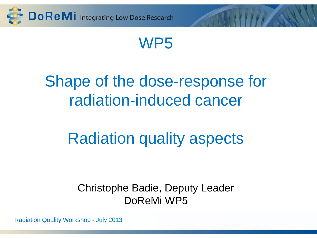

## WP5

# Shape of the dose-response for radiation-induced cancer

# Radiation quality aspects

#### Christophe Badie, Deputy Leader DoReMi WP5

Radiation Quality Workshop - July 2013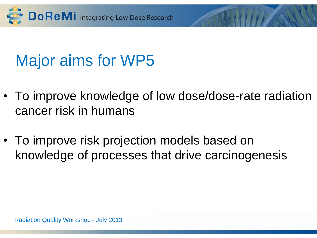

# Major aims for WP5

- To improve knowledge of low dose/dose-rate radiation cancer risk in humans
- To improve risk projection models based on knowledge of processes that drive carcinogenesis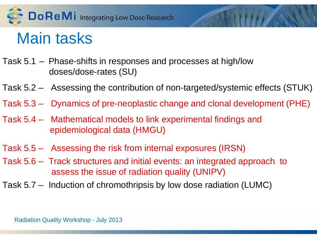

## Main tasks

- Task 5.1 Phase-shifts in responses and processes at high/low doses/dose-rates (SU)
- Task 5.2 Assessing the contribution of non-targeted/systemic effects (STUK)
- Task 5.3 Dynamics of pre-neoplastic change and clonal development (PHE)
- Task 5.4 Mathematical models to link experimental findings and epidemiological data (HMGU)
- Task 5.5 Assessing the risk from internal exposures (IRSN)
- Task 5.6 Track structures and initial events: an integrated approach to assess the issue of radiation quality (UNIPV)
- Task 5.7 Induction of chromothripsis by low dose radiation (LUMC)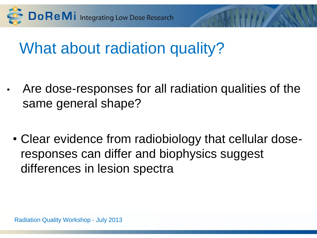

# What about radiation quality?

- Are dose-responses for all radiation qualities of the same general shape?
	- Clear evidence from radiobiology that cellular doseresponses can differ and biophysics suggest differences in lesion spectra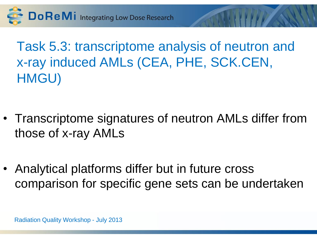Do ReMi Integrating Low Dose Research

Task 5.3: transcriptome analysis of neutron and x-ray induced AMLs (CEA, PHE, SCK.CEN, HMGU)

- Transcriptome signatures of neutron AMLs differ from those of x-ray AMLs
- Analytical platforms differ but in future cross comparison for specific gene sets can be undertaken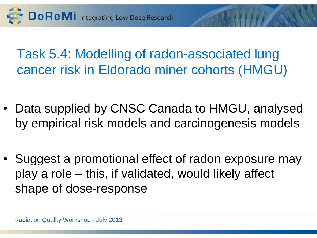

## Task 5.4: Modelling of radon-associated lung cancer risk in Eldorado miner cohorts (HMGU)

- Data supplied by CNSC Canada to HMGU, analysed by empirical risk models and carcinogenesis models
- Suggest a promotional effect of radon exposure may play a role – this, if validated, would likely affect shape of dose-response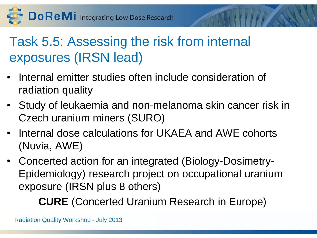Do ReMi Integrating Low Dose Research

## Task 5.5: Assessing the risk from internal exposures (IRSN lead)

- Internal emitter studies often include consideration of radiation quality
- Study of leukaemia and non-melanoma skin cancer risk in Czech uranium miners (SURO)
- Internal dose calculations for UKAEA and AWE cohorts (Nuvia, AWE)
- Concerted action for an integrated (Biology-Dosimetry-Epidemiology) research project on occupational uranium exposure (IRSN plus 8 others)

**CURE** (Concerted Uranium Research in Europe)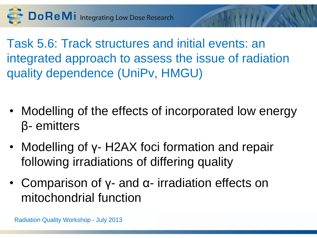Do ReMi Integrating Low Dose Research

Task 5.6: Track structures and initial events: an integrated approach to assess the issue of radiation quality dependence (UniPv, HMGU)

- Modelling of the effects of incorporated low energy β- emitters
- Modelling of γ- H2AX foci formation and repair following irradiations of differing quality
- Comparison of y- and α- irradiation effects on mitochondrial function